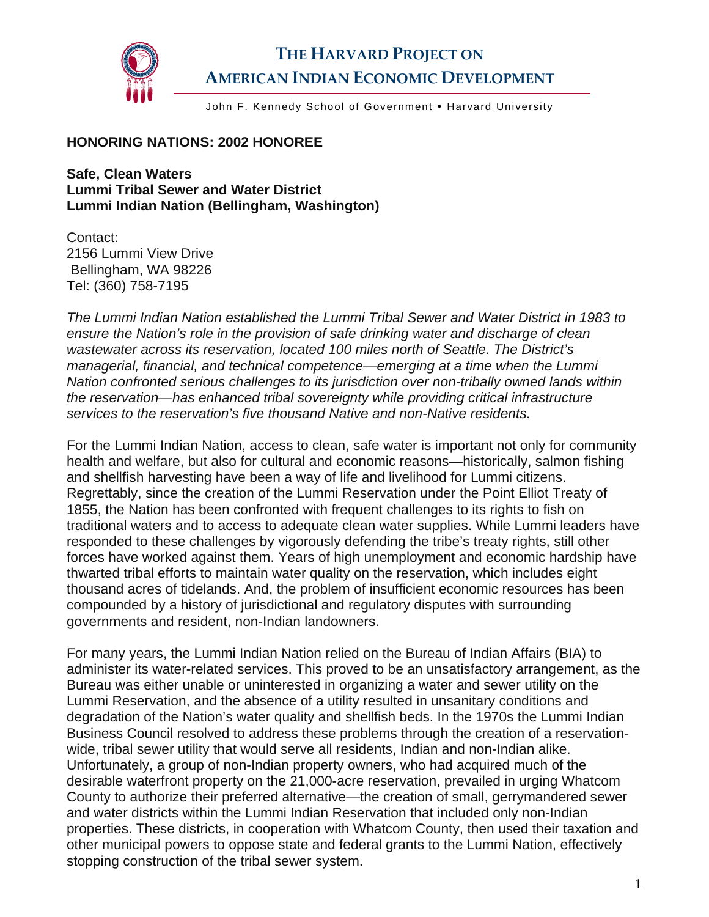

## **THE HARVARD PROJECT ON AMERICAN INDIAN ECONOMIC DEVELOPMENT**

John F. Kennedy School of Government . Harvard University

## **HONORING NATIONS: 2002 HONOREE**

**Safe, Clean Waters Lummi Tribal Sewer and Water District Lummi Indian Nation (Bellingham, Washington)** 

Contact: 2156 Lummi View Drive Bellingham, WA 98226 Tel: (360) 758-7195

*The Lummi Indian Nation established the Lummi Tribal Sewer and Water District in 1983 to ensure the Nation's role in the provision of safe drinking water and discharge of clean wastewater across its reservation, located 100 miles north of Seattle. The District's managerial, financial, and technical competence—emerging at a time when the Lummi Nation confronted serious challenges to its jurisdiction over non-tribally owned lands within the reservation—has enhanced tribal sovereignty while providing critical infrastructure services to the reservation's five thousand Native and non-Native residents.* 

For the Lummi Indian Nation, access to clean, safe water is important not only for community health and welfare, but also for cultural and economic reasons—historically, salmon fishing and shellfish harvesting have been a way of life and livelihood for Lummi citizens. Regrettably, since the creation of the Lummi Reservation under the Point Elliot Treaty of 1855, the Nation has been confronted with frequent challenges to its rights to fish on traditional waters and to access to adequate clean water supplies. While Lummi leaders have responded to these challenges by vigorously defending the tribe's treaty rights, still other forces have worked against them. Years of high unemployment and economic hardship have thwarted tribal efforts to maintain water quality on the reservation, which includes eight thousand acres of tidelands. And, the problem of insufficient economic resources has been compounded by a history of jurisdictional and regulatory disputes with surrounding governments and resident, non-Indian landowners.

For many years, the Lummi Indian Nation relied on the Bureau of Indian Affairs (BIA) to administer its water-related services. This proved to be an unsatisfactory arrangement, as the Bureau was either unable or uninterested in organizing a water and sewer utility on the Lummi Reservation, and the absence of a utility resulted in unsanitary conditions and degradation of the Nation's water quality and shellfish beds. In the 1970s the Lummi Indian Business Council resolved to address these problems through the creation of a reservationwide, tribal sewer utility that would serve all residents, Indian and non-Indian alike. Unfortunately, a group of non-Indian property owners, who had acquired much of the desirable waterfront property on the 21,000-acre reservation, prevailed in urging Whatcom County to authorize their preferred alternative—the creation of small, gerrymandered sewer and water districts within the Lummi Indian Reservation that included only non-Indian properties. These districts, in cooperation with Whatcom County, then used their taxation and other municipal powers to oppose state and federal grants to the Lummi Nation, effectively stopping construction of the tribal sewer system.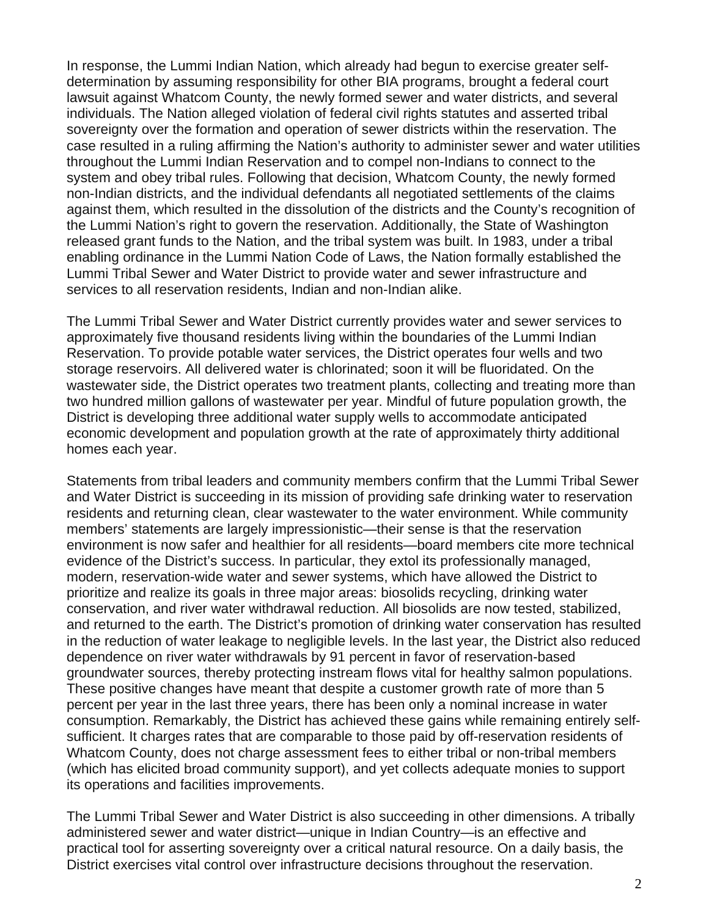In response, the Lummi Indian Nation, which already had begun to exercise greater selfdetermination by assuming responsibility for other BIA programs, brought a federal court lawsuit against Whatcom County, the newly formed sewer and water districts, and several individuals. The Nation alleged violation of federal civil rights statutes and asserted tribal sovereignty over the formation and operation of sewer districts within the reservation. The case resulted in a ruling affirming the Nation's authority to administer sewer and water utilities throughout the Lummi Indian Reservation and to compel non-Indians to connect to the system and obey tribal rules. Following that decision, Whatcom County, the newly formed non-Indian districts, and the individual defendants all negotiated settlements of the claims against them, which resulted in the dissolution of the districts and the County's recognition of the Lummi Nation's right to govern the reservation. Additionally, the State of Washington released grant funds to the Nation, and the tribal system was built. In 1983, under a tribal enabling ordinance in the Lummi Nation Code of Laws, the Nation formally established the Lummi Tribal Sewer and Water District to provide water and sewer infrastructure and services to all reservation residents, Indian and non-Indian alike.

The Lummi Tribal Sewer and Water District currently provides water and sewer services to approximately five thousand residents living within the boundaries of the Lummi Indian Reservation. To provide potable water services, the District operates four wells and two storage reservoirs. All delivered water is chlorinated; soon it will be fluoridated. On the wastewater side, the District operates two treatment plants, collecting and treating more than two hundred million gallons of wastewater per year. Mindful of future population growth, the District is developing three additional water supply wells to accommodate anticipated economic development and population growth at the rate of approximately thirty additional homes each year.

Statements from tribal leaders and community members confirm that the Lummi Tribal Sewer and Water District is succeeding in its mission of providing safe drinking water to reservation residents and returning clean, clear wastewater to the water environment. While community members' statements are largely impressionistic—their sense is that the reservation environment is now safer and healthier for all residents—board members cite more technical evidence of the District's success. In particular, they extol its professionally managed, modern, reservation-wide water and sewer systems, which have allowed the District to prioritize and realize its goals in three major areas: biosolids recycling, drinking water conservation, and river water withdrawal reduction. All biosolids are now tested, stabilized, and returned to the earth. The District's promotion of drinking water conservation has resulted in the reduction of water leakage to negligible levels. In the last year, the District also reduced dependence on river water withdrawals by 91 percent in favor of reservation-based groundwater sources, thereby protecting instream flows vital for healthy salmon populations. These positive changes have meant that despite a customer growth rate of more than 5 percent per year in the last three years, there has been only a nominal increase in water consumption. Remarkably, the District has achieved these gains while remaining entirely selfsufficient. It charges rates that are comparable to those paid by off-reservation residents of Whatcom County, does not charge assessment fees to either tribal or non-tribal members (which has elicited broad community support), and yet collects adequate monies to support its operations and facilities improvements.

The Lummi Tribal Sewer and Water District is also succeeding in other dimensions. A tribally administered sewer and water district—unique in Indian Country—is an effective and practical tool for asserting sovereignty over a critical natural resource. On a daily basis, the District exercises vital control over infrastructure decisions throughout the reservation.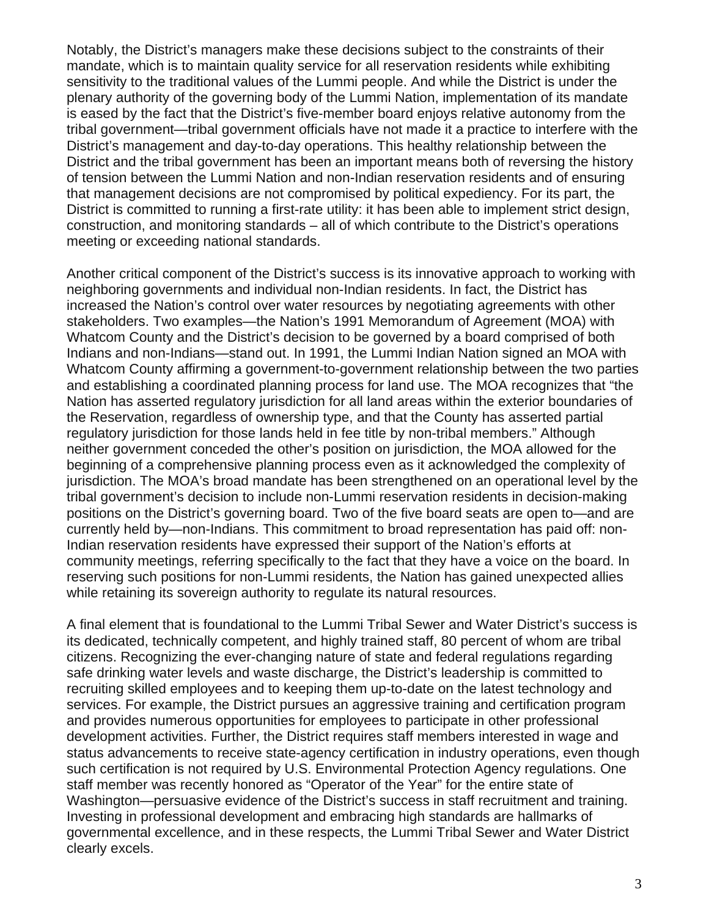Notably, the District's managers make these decisions subject to the constraints of their mandate, which is to maintain quality service for all reservation residents while exhibiting sensitivity to the traditional values of the Lummi people. And while the District is under the plenary authority of the governing body of the Lummi Nation, implementation of its mandate is eased by the fact that the District's five-member board enjoys relative autonomy from the tribal government—tribal government officials have not made it a practice to interfere with the District's management and day-to-day operations. This healthy relationship between the District and the tribal government has been an important means both of reversing the history of tension between the Lummi Nation and non-Indian reservation residents and of ensuring that management decisions are not compromised by political expediency. For its part, the District is committed to running a first-rate utility: it has been able to implement strict design, construction, and monitoring standards – all of which contribute to the District's operations meeting or exceeding national standards.

Another critical component of the District's success is its innovative approach to working with neighboring governments and individual non-Indian residents. In fact, the District has increased the Nation's control over water resources by negotiating agreements with other stakeholders. Two examples—the Nation's 1991 Memorandum of Agreement (MOA) with Whatcom County and the District's decision to be governed by a board comprised of both Indians and non-Indians—stand out. In 1991, the Lummi Indian Nation signed an MOA with Whatcom County affirming a government-to-government relationship between the two parties and establishing a coordinated planning process for land use. The MOA recognizes that "the Nation has asserted regulatory jurisdiction for all land areas within the exterior boundaries of the Reservation, regardless of ownership type, and that the County has asserted partial regulatory jurisdiction for those lands held in fee title by non-tribal members." Although neither government conceded the other's position on jurisdiction, the MOA allowed for the beginning of a comprehensive planning process even as it acknowledged the complexity of jurisdiction. The MOA's broad mandate has been strengthened on an operational level by the tribal government's decision to include non-Lummi reservation residents in decision-making positions on the District's governing board. Two of the five board seats are open to—and are currently held by—non-Indians. This commitment to broad representation has paid off: non-Indian reservation residents have expressed their support of the Nation's efforts at community meetings, referring specifically to the fact that they have a voice on the board. In reserving such positions for non-Lummi residents, the Nation has gained unexpected allies while retaining its sovereign authority to regulate its natural resources.

A final element that is foundational to the Lummi Tribal Sewer and Water District's success is its dedicated, technically competent, and highly trained staff, 80 percent of whom are tribal citizens. Recognizing the ever-changing nature of state and federal regulations regarding safe drinking water levels and waste discharge, the District's leadership is committed to recruiting skilled employees and to keeping them up-to-date on the latest technology and services. For example, the District pursues an aggressive training and certification program and provides numerous opportunities for employees to participate in other professional development activities. Further, the District requires staff members interested in wage and status advancements to receive state-agency certification in industry operations, even though such certification is not required by U.S. Environmental Protection Agency regulations. One staff member was recently honored as "Operator of the Year" for the entire state of Washington—persuasive evidence of the District's success in staff recruitment and training. Investing in professional development and embracing high standards are hallmarks of governmental excellence, and in these respects, the Lummi Tribal Sewer and Water District clearly excels.